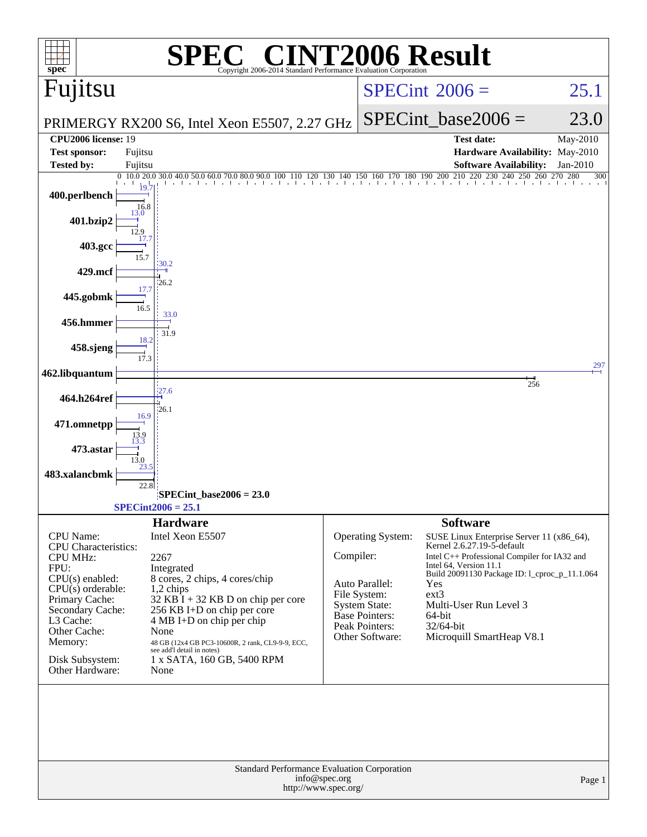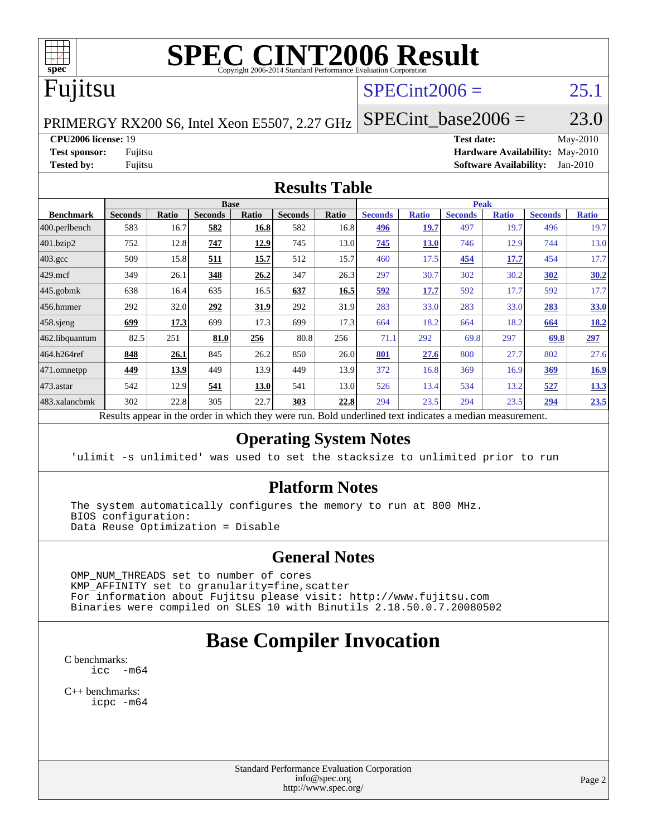

# **[SPEC CINT2006 Result](http://www.spec.org/auto/cpu2006/Docs/result-fields.html#SPECCINT2006Result)**

## Fujitsu

### $SPECint2006 =$  25.1

PRIMERGY RX200 S6, Intel Xeon E5507, 2.27 GHz

SPECint base2006 =  $23.0$ 

**[CPU2006 license:](http://www.spec.org/auto/cpu2006/Docs/result-fields.html#CPU2006license)** 19 **[Test date:](http://www.spec.org/auto/cpu2006/Docs/result-fields.html#Testdate)** May-2010 **[Test sponsor:](http://www.spec.org/auto/cpu2006/Docs/result-fields.html#Testsponsor)** Fujitsu **[Hardware Availability:](http://www.spec.org/auto/cpu2006/Docs/result-fields.html#HardwareAvailability)** May-2010 **[Tested by:](http://www.spec.org/auto/cpu2006/Docs/result-fields.html#Testedby)** Fujitsu **[Software Availability:](http://www.spec.org/auto/cpu2006/Docs/result-fields.html#SoftwareAvailability)** Jan-2010

### **[Results Table](http://www.spec.org/auto/cpu2006/Docs/result-fields.html#ResultsTable)**

| <b>Base</b>    |                |                     |       |                |       | <b>Peak</b>                         |              |                           |              |                |              |
|----------------|----------------|---------------------|-------|----------------|-------|-------------------------------------|--------------|---------------------------|--------------|----------------|--------------|
| <b>Seconds</b> | Ratio          | <b>Seconds</b>      | Ratio | <b>Seconds</b> | Ratio | <b>Seconds</b>                      | <b>Ratio</b> | <b>Seconds</b>            | <b>Ratio</b> | <b>Seconds</b> | <b>Ratio</b> |
| 583            | 16.7           | 582                 | 16.8  | 582            | 16.8  | 496                                 | 19.7         | 497                       | 19.7         | 496            | 19.7         |
| 752            | 12.8           | 747                 | 12.9  | 745            |       | 745                                 | <b>13.0</b>  | 746                       | 12.9         | 744            | 13.0         |
| 509            | 15.8           | 511                 | 15.7  | 512            | 15.7  | 460                                 | 17.5         | 454                       | 17.7         | 454            | 17.7         |
| 349            | 26.1           | 348                 | 26.2  | 347            | 26.3  | 297                                 | 30.7         | 302                       | 30.2         | 302            | 30.2         |
| 638            | 16.4           | 635                 | 16.5  | 637            | 16.5  | 592                                 | 17.7         | 592                       | 17.7         | 592            | 17.7         |
| 292            | 32.0           | 292                 | 31.9  | 292            | 31.9  | 283                                 | 33.0         | 283                       | 33.0         | 283            | 33.0         |
| <u>699</u>     | 17.3           | 699                 | 17.3  | 699            | 17.3  | 664                                 | 18.2         | 664                       | 18.2         | 664            | <u>18.2</u>  |
| 82.5           | 251            | 81.0                | 256   | 80.8           | 256   | 71.1                                | 292          | 69.8                      | 297          | 69.8           | 297          |
| 848            | 26.1           | 845                 | 26.2  | 850            |       | 801                                 | 27.6         | 800                       | 27.7         | 802            | 27.6         |
| 449            | 13.9           | 449                 | 13.9  | 449            | 13.9  | 372                                 | 16.8         | 369                       | 16.9         | 369            | 16.9         |
| 542            | 12.9           | 541                 | 13.0  | 541            |       | 526                                 | 13.4         | 534                       | 13.2         | 527            | <u>13.3</u>  |
| 302            | 22.8           | 305                 | 22.7  | 303            | 22.8  | 294                                 | 23.5         | 294                       | 23.5         | 294            | 23.5         |
| n.             | $\mathbf{1}$ . | $\cdot$ . $\cdot$ . |       | $\cdot$ 1      |       | 13.0<br>26.0<br>13.0<br><b>D</b> 11 | 1.1          | $\cdot$<br>$\blacksquare$ | $\cdot$      |                |              |

Results appear in the [order in which they were run.](http://www.spec.org/auto/cpu2006/Docs/result-fields.html#RunOrder) Bold underlined text [indicates a median measurement.](http://www.spec.org/auto/cpu2006/Docs/result-fields.html#Median)

### **[Operating System Notes](http://www.spec.org/auto/cpu2006/Docs/result-fields.html#OperatingSystemNotes)**

'ulimit -s unlimited' was used to set the stacksize to unlimited prior to run

### **[Platform Notes](http://www.spec.org/auto/cpu2006/Docs/result-fields.html#PlatformNotes)**

 The system automatically configures the memory to run at 800 MHz. BIOS configuration: Data Reuse Optimization = Disable

### **[General Notes](http://www.spec.org/auto/cpu2006/Docs/result-fields.html#GeneralNotes)**

 OMP\_NUM\_THREADS set to number of cores KMP\_AFFINITY set to granularity=fine,scatter For information about Fujitsu please visit: <http://www.fujitsu.com> Binaries were compiled on SLES 10 with Binutils 2.18.50.0.7.20080502

## **[Base Compiler Invocation](http://www.spec.org/auto/cpu2006/Docs/result-fields.html#BaseCompilerInvocation)**

[C benchmarks](http://www.spec.org/auto/cpu2006/Docs/result-fields.html#Cbenchmarks):  $\text{icc}$   $-\text{m64}$ 

[C++ benchmarks:](http://www.spec.org/auto/cpu2006/Docs/result-fields.html#CXXbenchmarks) [icpc -m64](http://www.spec.org/cpu2006/results/res2010q3/cpu2006-20100706-12233.flags.html#user_CXXbase_intel_icpc_64bit_fc66a5337ce925472a5c54ad6a0de310)

> Standard Performance Evaluation Corporation [info@spec.org](mailto:info@spec.org) <http://www.spec.org/>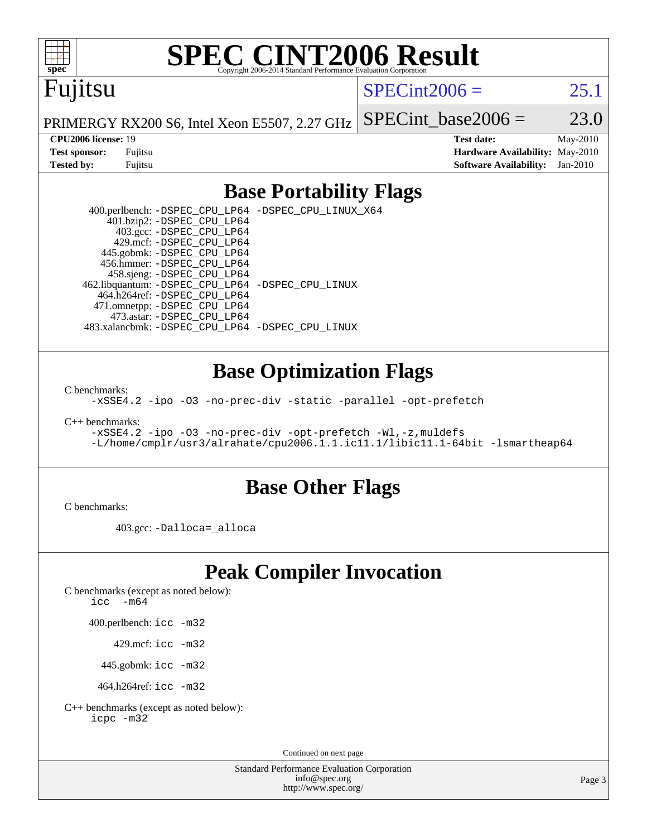

# **[SPEC CINT2006 Result](http://www.spec.org/auto/cpu2006/Docs/result-fields.html#SPECCINT2006Result)**

# Fujitsu

 $SPECint2006 = 25.1$  $SPECint2006 = 25.1$ 

PRIMERGY RX200 S6, Intel Xeon E5507, 2.27 GHz SPECint base2006 =  $23.0$ 

**[CPU2006 license:](http://www.spec.org/auto/cpu2006/Docs/result-fields.html#CPU2006license)** 19 **[Test date:](http://www.spec.org/auto/cpu2006/Docs/result-fields.html#Testdate)** May-2010 **[Test sponsor:](http://www.spec.org/auto/cpu2006/Docs/result-fields.html#Testsponsor)** Fujitsu **[Hardware Availability:](http://www.spec.org/auto/cpu2006/Docs/result-fields.html#HardwareAvailability)** May-2010 **[Tested by:](http://www.spec.org/auto/cpu2006/Docs/result-fields.html#Testedby)** Fujitsu **[Software Availability:](http://www.spec.org/auto/cpu2006/Docs/result-fields.html#SoftwareAvailability)** Jan-2010

### **[Base Portability Flags](http://www.spec.org/auto/cpu2006/Docs/result-fields.html#BasePortabilityFlags)**

 400.perlbench: [-DSPEC\\_CPU\\_LP64](http://www.spec.org/cpu2006/results/res2010q3/cpu2006-20100706-12233.flags.html#b400.perlbench_basePORTABILITY_DSPEC_CPU_LP64) [-DSPEC\\_CPU\\_LINUX\\_X64](http://www.spec.org/cpu2006/results/res2010q3/cpu2006-20100706-12233.flags.html#b400.perlbench_baseCPORTABILITY_DSPEC_CPU_LINUX_X64) 401.bzip2: [-DSPEC\\_CPU\\_LP64](http://www.spec.org/cpu2006/results/res2010q3/cpu2006-20100706-12233.flags.html#suite_basePORTABILITY401_bzip2_DSPEC_CPU_LP64) 403.gcc: [-DSPEC\\_CPU\\_LP64](http://www.spec.org/cpu2006/results/res2010q3/cpu2006-20100706-12233.flags.html#suite_basePORTABILITY403_gcc_DSPEC_CPU_LP64) 429.mcf: [-DSPEC\\_CPU\\_LP64](http://www.spec.org/cpu2006/results/res2010q3/cpu2006-20100706-12233.flags.html#suite_basePORTABILITY429_mcf_DSPEC_CPU_LP64) 445.gobmk: [-DSPEC\\_CPU\\_LP64](http://www.spec.org/cpu2006/results/res2010q3/cpu2006-20100706-12233.flags.html#suite_basePORTABILITY445_gobmk_DSPEC_CPU_LP64) 456.hmmer: [-DSPEC\\_CPU\\_LP64](http://www.spec.org/cpu2006/results/res2010q3/cpu2006-20100706-12233.flags.html#suite_basePORTABILITY456_hmmer_DSPEC_CPU_LP64) 458.sjeng: [-DSPEC\\_CPU\\_LP64](http://www.spec.org/cpu2006/results/res2010q3/cpu2006-20100706-12233.flags.html#suite_basePORTABILITY458_sjeng_DSPEC_CPU_LP64) 462.libquantum: [-DSPEC\\_CPU\\_LP64](http://www.spec.org/cpu2006/results/res2010q3/cpu2006-20100706-12233.flags.html#suite_basePORTABILITY462_libquantum_DSPEC_CPU_LP64) [-DSPEC\\_CPU\\_LINUX](http://www.spec.org/cpu2006/results/res2010q3/cpu2006-20100706-12233.flags.html#b462.libquantum_baseCPORTABILITY_DSPEC_CPU_LINUX) 464.h264ref: [-DSPEC\\_CPU\\_LP64](http://www.spec.org/cpu2006/results/res2010q3/cpu2006-20100706-12233.flags.html#suite_basePORTABILITY464_h264ref_DSPEC_CPU_LP64) 471.omnetpp: [-DSPEC\\_CPU\\_LP64](http://www.spec.org/cpu2006/results/res2010q3/cpu2006-20100706-12233.flags.html#suite_basePORTABILITY471_omnetpp_DSPEC_CPU_LP64) 473.astar: [-DSPEC\\_CPU\\_LP64](http://www.spec.org/cpu2006/results/res2010q3/cpu2006-20100706-12233.flags.html#suite_basePORTABILITY473_astar_DSPEC_CPU_LP64) 483.xalancbmk: [-DSPEC\\_CPU\\_LP64](http://www.spec.org/cpu2006/results/res2010q3/cpu2006-20100706-12233.flags.html#suite_basePORTABILITY483_xalancbmk_DSPEC_CPU_LP64) [-DSPEC\\_CPU\\_LINUX](http://www.spec.org/cpu2006/results/res2010q3/cpu2006-20100706-12233.flags.html#b483.xalancbmk_baseCXXPORTABILITY_DSPEC_CPU_LINUX)

### **[Base Optimization Flags](http://www.spec.org/auto/cpu2006/Docs/result-fields.html#BaseOptimizationFlags)**

[C benchmarks](http://www.spec.org/auto/cpu2006/Docs/result-fields.html#Cbenchmarks):

[-xSSE4.2](http://www.spec.org/cpu2006/results/res2010q3/cpu2006-20100706-12233.flags.html#user_CCbase_f-xSSE42_f91528193cf0b216347adb8b939d4107) [-ipo](http://www.spec.org/cpu2006/results/res2010q3/cpu2006-20100706-12233.flags.html#user_CCbase_f-ipo) [-O3](http://www.spec.org/cpu2006/results/res2010q3/cpu2006-20100706-12233.flags.html#user_CCbase_f-O3) [-no-prec-div](http://www.spec.org/cpu2006/results/res2010q3/cpu2006-20100706-12233.flags.html#user_CCbase_f-no-prec-div) [-static](http://www.spec.org/cpu2006/results/res2010q3/cpu2006-20100706-12233.flags.html#user_CCbase_f-static) [-parallel](http://www.spec.org/cpu2006/results/res2010q3/cpu2006-20100706-12233.flags.html#user_CCbase_f-parallel) [-opt-prefetch](http://www.spec.org/cpu2006/results/res2010q3/cpu2006-20100706-12233.flags.html#user_CCbase_f-opt-prefetch)

[C++ benchmarks:](http://www.spec.org/auto/cpu2006/Docs/result-fields.html#CXXbenchmarks)

[-xSSE4.2](http://www.spec.org/cpu2006/results/res2010q3/cpu2006-20100706-12233.flags.html#user_CXXbase_f-xSSE42_f91528193cf0b216347adb8b939d4107) [-ipo](http://www.spec.org/cpu2006/results/res2010q3/cpu2006-20100706-12233.flags.html#user_CXXbase_f-ipo) [-O3](http://www.spec.org/cpu2006/results/res2010q3/cpu2006-20100706-12233.flags.html#user_CXXbase_f-O3) [-no-prec-div](http://www.spec.org/cpu2006/results/res2010q3/cpu2006-20100706-12233.flags.html#user_CXXbase_f-no-prec-div) [-opt-prefetch](http://www.spec.org/cpu2006/results/res2010q3/cpu2006-20100706-12233.flags.html#user_CXXbase_f-opt-prefetch) [-Wl,-z,muldefs](http://www.spec.org/cpu2006/results/res2010q3/cpu2006-20100706-12233.flags.html#user_CXXbase_link_force_multiple1_74079c344b956b9658436fd1b6dd3a8a) [-L/home/cmplr/usr3/alrahate/cpu2006.1.1.ic11.1/libic11.1-64bit -lsmartheap64](http://www.spec.org/cpu2006/results/res2010q3/cpu2006-20100706-12233.flags.html#user_CXXbase_SmartHeap64_e2306cda84805d1ab360117a79ff779c)

### **[Base Other Flags](http://www.spec.org/auto/cpu2006/Docs/result-fields.html#BaseOtherFlags)**

[C benchmarks](http://www.spec.org/auto/cpu2006/Docs/result-fields.html#Cbenchmarks):

403.gcc: [-Dalloca=\\_alloca](http://www.spec.org/cpu2006/results/res2010q3/cpu2006-20100706-12233.flags.html#b403.gcc_baseEXTRA_CFLAGS_Dalloca_be3056838c12de2578596ca5467af7f3)

### **[Peak Compiler Invocation](http://www.spec.org/auto/cpu2006/Docs/result-fields.html#PeakCompilerInvocation)**

[C benchmarks \(except as noted below\)](http://www.spec.org/auto/cpu2006/Docs/result-fields.html#Cbenchmarksexceptasnotedbelow):

icc  $-m64$ 

400.perlbench: [icc -m32](http://www.spec.org/cpu2006/results/res2010q3/cpu2006-20100706-12233.flags.html#user_peakCCLD400_perlbench_intel_icc_32bit_a6a621f8d50482236b970c6ac5f55f93)

429.mcf: [icc -m32](http://www.spec.org/cpu2006/results/res2010q3/cpu2006-20100706-12233.flags.html#user_peakCCLD429_mcf_intel_icc_32bit_a6a621f8d50482236b970c6ac5f55f93)

445.gobmk: [icc -m32](http://www.spec.org/cpu2006/results/res2010q3/cpu2006-20100706-12233.flags.html#user_peakCCLD445_gobmk_intel_icc_32bit_a6a621f8d50482236b970c6ac5f55f93)

464.h264ref: [icc -m32](http://www.spec.org/cpu2006/results/res2010q3/cpu2006-20100706-12233.flags.html#user_peakCCLD464_h264ref_intel_icc_32bit_a6a621f8d50482236b970c6ac5f55f93)

[C++ benchmarks \(except as noted below\):](http://www.spec.org/auto/cpu2006/Docs/result-fields.html#CXXbenchmarksexceptasnotedbelow) [icpc -m32](http://www.spec.org/cpu2006/results/res2010q3/cpu2006-20100706-12233.flags.html#user_CXXpeak_intel_icpc_32bit_4e5a5ef1a53fd332b3c49e69c3330699)

Continued on next page

Standard Performance Evaluation Corporation [info@spec.org](mailto:info@spec.org) <http://www.spec.org/>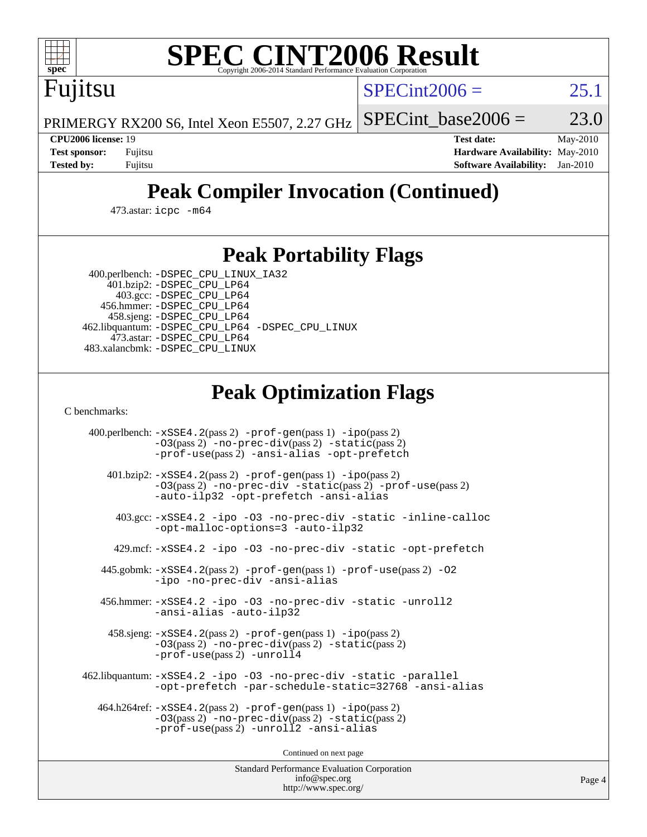

# **[SPEC CINT2006 Result](http://www.spec.org/auto/cpu2006/Docs/result-fields.html#SPECCINT2006Result)**

 $SPECint2006 = 25.1$  $SPECint2006 = 25.1$ 

PRIMERGY RX200 S6, Intel Xeon E5507, 2.27 GHz SPECint base2006 =  $23.0$ 

Fujitsu

**[CPU2006 license:](http://www.spec.org/auto/cpu2006/Docs/result-fields.html#CPU2006license)** 19 **[Test date:](http://www.spec.org/auto/cpu2006/Docs/result-fields.html#Testdate)** May-2010 **[Test sponsor:](http://www.spec.org/auto/cpu2006/Docs/result-fields.html#Testsponsor)** Fujitsu **[Hardware Availability:](http://www.spec.org/auto/cpu2006/Docs/result-fields.html#HardwareAvailability)** May-2010 **[Tested by:](http://www.spec.org/auto/cpu2006/Docs/result-fields.html#Testedby)** Fujitsu **[Software Availability:](http://www.spec.org/auto/cpu2006/Docs/result-fields.html#SoftwareAvailability)** Jan-2010

# **[Peak Compiler Invocation \(Continued\)](http://www.spec.org/auto/cpu2006/Docs/result-fields.html#PeakCompilerInvocation)**

473.astar: [icpc -m64](http://www.spec.org/cpu2006/results/res2010q3/cpu2006-20100706-12233.flags.html#user_peakCXXLD473_astar_intel_icpc_64bit_fc66a5337ce925472a5c54ad6a0de310)

### **[Peak Portability Flags](http://www.spec.org/auto/cpu2006/Docs/result-fields.html#PeakPortabilityFlags)**

400.perlbench: [-DSPEC\\_CPU\\_LINUX\\_IA32](http://www.spec.org/cpu2006/results/res2010q3/cpu2006-20100706-12233.flags.html#b400.perlbench_peakCPORTABILITY_DSPEC_CPU_LINUX_IA32)

 401.bzip2: [-DSPEC\\_CPU\\_LP64](http://www.spec.org/cpu2006/results/res2010q3/cpu2006-20100706-12233.flags.html#suite_peakPORTABILITY401_bzip2_DSPEC_CPU_LP64) 403.gcc: [-DSPEC\\_CPU\\_LP64](http://www.spec.org/cpu2006/results/res2010q3/cpu2006-20100706-12233.flags.html#suite_peakPORTABILITY403_gcc_DSPEC_CPU_LP64) 456.hmmer: [-DSPEC\\_CPU\\_LP64](http://www.spec.org/cpu2006/results/res2010q3/cpu2006-20100706-12233.flags.html#suite_peakPORTABILITY456_hmmer_DSPEC_CPU_LP64) 458.sjeng: [-DSPEC\\_CPU\\_LP64](http://www.spec.org/cpu2006/results/res2010q3/cpu2006-20100706-12233.flags.html#suite_peakPORTABILITY458_sjeng_DSPEC_CPU_LP64) 462.libquantum: [-DSPEC\\_CPU\\_LP64](http://www.spec.org/cpu2006/results/res2010q3/cpu2006-20100706-12233.flags.html#suite_peakPORTABILITY462_libquantum_DSPEC_CPU_LP64) [-DSPEC\\_CPU\\_LINUX](http://www.spec.org/cpu2006/results/res2010q3/cpu2006-20100706-12233.flags.html#b462.libquantum_peakCPORTABILITY_DSPEC_CPU_LINUX) 473.astar: [-DSPEC\\_CPU\\_LP64](http://www.spec.org/cpu2006/results/res2010q3/cpu2006-20100706-12233.flags.html#suite_peakPORTABILITY473_astar_DSPEC_CPU_LP64) 483.xalancbmk: [-DSPEC\\_CPU\\_LINUX](http://www.spec.org/cpu2006/results/res2010q3/cpu2006-20100706-12233.flags.html#b483.xalancbmk_peakCXXPORTABILITY_DSPEC_CPU_LINUX)

## **[Peak Optimization Flags](http://www.spec.org/auto/cpu2006/Docs/result-fields.html#PeakOptimizationFlags)**

[C benchmarks](http://www.spec.org/auto/cpu2006/Docs/result-fields.html#Cbenchmarks):

 400.perlbench: [-xSSE4.2](http://www.spec.org/cpu2006/results/res2010q3/cpu2006-20100706-12233.flags.html#user_peakPASS2_CFLAGSPASS2_LDCFLAGS400_perlbench_f-xSSE42_f91528193cf0b216347adb8b939d4107)(pass 2) [-prof-gen](http://www.spec.org/cpu2006/results/res2010q3/cpu2006-20100706-12233.flags.html#user_peakPASS1_CFLAGSPASS1_LDCFLAGS400_perlbench_prof_gen_e43856698f6ca7b7e442dfd80e94a8fc)(pass 1) [-ipo](http://www.spec.org/cpu2006/results/res2010q3/cpu2006-20100706-12233.flags.html#user_peakPASS2_CFLAGSPASS2_LDCFLAGS400_perlbench_f-ipo)(pass 2) [-O3](http://www.spec.org/cpu2006/results/res2010q3/cpu2006-20100706-12233.flags.html#user_peakPASS2_CFLAGSPASS2_LDCFLAGS400_perlbench_f-O3)(pass 2) [-no-prec-div](http://www.spec.org/cpu2006/results/res2010q3/cpu2006-20100706-12233.flags.html#user_peakPASS2_CFLAGSPASS2_LDCFLAGS400_perlbench_f-no-prec-div)(pass 2) [-static](http://www.spec.org/cpu2006/results/res2010q3/cpu2006-20100706-12233.flags.html#user_peakPASS2_CFLAGSPASS2_LDCFLAGS400_perlbench_f-static)(pass 2) [-prof-use](http://www.spec.org/cpu2006/results/res2010q3/cpu2006-20100706-12233.flags.html#user_peakPASS2_CFLAGSPASS2_LDCFLAGS400_perlbench_prof_use_bccf7792157ff70d64e32fe3e1250b55)(pass 2) [-ansi-alias](http://www.spec.org/cpu2006/results/res2010q3/cpu2006-20100706-12233.flags.html#user_peakCOPTIMIZE400_perlbench_f-ansi-alias) [-opt-prefetch](http://www.spec.org/cpu2006/results/res2010q3/cpu2006-20100706-12233.flags.html#user_peakCOPTIMIZE400_perlbench_f-opt-prefetch) 401.bzip2: [-xSSE4.2](http://www.spec.org/cpu2006/results/res2010q3/cpu2006-20100706-12233.flags.html#user_peakPASS2_CFLAGSPASS2_LDCFLAGS401_bzip2_f-xSSE42_f91528193cf0b216347adb8b939d4107)(pass 2) [-prof-gen](http://www.spec.org/cpu2006/results/res2010q3/cpu2006-20100706-12233.flags.html#user_peakPASS1_CFLAGSPASS1_LDCFLAGS401_bzip2_prof_gen_e43856698f6ca7b7e442dfd80e94a8fc)(pass 1) [-ipo](http://www.spec.org/cpu2006/results/res2010q3/cpu2006-20100706-12233.flags.html#user_peakPASS2_CFLAGSPASS2_LDCFLAGS401_bzip2_f-ipo)(pass 2) [-O3](http://www.spec.org/cpu2006/results/res2010q3/cpu2006-20100706-12233.flags.html#user_peakPASS2_CFLAGSPASS2_LDCFLAGS401_bzip2_f-O3)(pass 2) [-no-prec-div](http://www.spec.org/cpu2006/results/res2010q3/cpu2006-20100706-12233.flags.html#user_peakCOPTIMIZEPASS2_CFLAGSPASS2_LDCFLAGS401_bzip2_f-no-prec-div) [-static](http://www.spec.org/cpu2006/results/res2010q3/cpu2006-20100706-12233.flags.html#user_peakPASS2_CFLAGSPASS2_LDCFLAGS401_bzip2_f-static)(pass 2) [-prof-use](http://www.spec.org/cpu2006/results/res2010q3/cpu2006-20100706-12233.flags.html#user_peakPASS2_CFLAGSPASS2_LDCFLAGS401_bzip2_prof_use_bccf7792157ff70d64e32fe3e1250b55)(pass 2) [-auto-ilp32](http://www.spec.org/cpu2006/results/res2010q3/cpu2006-20100706-12233.flags.html#user_peakCOPTIMIZE401_bzip2_f-auto-ilp32) [-opt-prefetch](http://www.spec.org/cpu2006/results/res2010q3/cpu2006-20100706-12233.flags.html#user_peakCOPTIMIZE401_bzip2_f-opt-prefetch) [-ansi-alias](http://www.spec.org/cpu2006/results/res2010q3/cpu2006-20100706-12233.flags.html#user_peakCOPTIMIZE401_bzip2_f-ansi-alias) 403.gcc: [-xSSE4.2](http://www.spec.org/cpu2006/results/res2010q3/cpu2006-20100706-12233.flags.html#user_peakCOPTIMIZE403_gcc_f-xSSE42_f91528193cf0b216347adb8b939d4107) [-ipo](http://www.spec.org/cpu2006/results/res2010q3/cpu2006-20100706-12233.flags.html#user_peakCOPTIMIZE403_gcc_f-ipo) [-O3](http://www.spec.org/cpu2006/results/res2010q3/cpu2006-20100706-12233.flags.html#user_peakCOPTIMIZE403_gcc_f-O3) [-no-prec-div](http://www.spec.org/cpu2006/results/res2010q3/cpu2006-20100706-12233.flags.html#user_peakCOPTIMIZE403_gcc_f-no-prec-div) [-static](http://www.spec.org/cpu2006/results/res2010q3/cpu2006-20100706-12233.flags.html#user_peakCOPTIMIZE403_gcc_f-static) [-inline-calloc](http://www.spec.org/cpu2006/results/res2010q3/cpu2006-20100706-12233.flags.html#user_peakCOPTIMIZE403_gcc_f-inline-calloc) [-opt-malloc-options=3](http://www.spec.org/cpu2006/results/res2010q3/cpu2006-20100706-12233.flags.html#user_peakCOPTIMIZE403_gcc_f-opt-malloc-options_13ab9b803cf986b4ee62f0a5998c2238) [-auto-ilp32](http://www.spec.org/cpu2006/results/res2010q3/cpu2006-20100706-12233.flags.html#user_peakCOPTIMIZE403_gcc_f-auto-ilp32) 429.mcf: [-xSSE4.2](http://www.spec.org/cpu2006/results/res2010q3/cpu2006-20100706-12233.flags.html#user_peakCOPTIMIZE429_mcf_f-xSSE42_f91528193cf0b216347adb8b939d4107) [-ipo](http://www.spec.org/cpu2006/results/res2010q3/cpu2006-20100706-12233.flags.html#user_peakCOPTIMIZE429_mcf_f-ipo) [-O3](http://www.spec.org/cpu2006/results/res2010q3/cpu2006-20100706-12233.flags.html#user_peakCOPTIMIZE429_mcf_f-O3) [-no-prec-div](http://www.spec.org/cpu2006/results/res2010q3/cpu2006-20100706-12233.flags.html#user_peakCOPTIMIZE429_mcf_f-no-prec-div) [-static](http://www.spec.org/cpu2006/results/res2010q3/cpu2006-20100706-12233.flags.html#user_peakCOPTIMIZE429_mcf_f-static) [-opt-prefetch](http://www.spec.org/cpu2006/results/res2010q3/cpu2006-20100706-12233.flags.html#user_peakCOPTIMIZE429_mcf_f-opt-prefetch) 445.gobmk: [-xSSE4.2](http://www.spec.org/cpu2006/results/res2010q3/cpu2006-20100706-12233.flags.html#user_peakPASS2_CFLAGSPASS2_LDCFLAGS445_gobmk_f-xSSE42_f91528193cf0b216347adb8b939d4107)(pass 2) [-prof-gen](http://www.spec.org/cpu2006/results/res2010q3/cpu2006-20100706-12233.flags.html#user_peakPASS1_CFLAGSPASS1_LDCFLAGS445_gobmk_prof_gen_e43856698f6ca7b7e442dfd80e94a8fc)(pass 1) [-prof-use](http://www.spec.org/cpu2006/results/res2010q3/cpu2006-20100706-12233.flags.html#user_peakPASS2_CFLAGSPASS2_LDCFLAGS445_gobmk_prof_use_bccf7792157ff70d64e32fe3e1250b55)(pass 2) [-O2](http://www.spec.org/cpu2006/results/res2010q3/cpu2006-20100706-12233.flags.html#user_peakCOPTIMIZE445_gobmk_f-O2) [-ipo](http://www.spec.org/cpu2006/results/res2010q3/cpu2006-20100706-12233.flags.html#user_peakCOPTIMIZE445_gobmk_f-ipo) [-no-prec-div](http://www.spec.org/cpu2006/results/res2010q3/cpu2006-20100706-12233.flags.html#user_peakCOPTIMIZE445_gobmk_f-no-prec-div) [-ansi-alias](http://www.spec.org/cpu2006/results/res2010q3/cpu2006-20100706-12233.flags.html#user_peakCOPTIMIZE445_gobmk_f-ansi-alias) 456.hmmer: [-xSSE4.2](http://www.spec.org/cpu2006/results/res2010q3/cpu2006-20100706-12233.flags.html#user_peakCOPTIMIZE456_hmmer_f-xSSE42_f91528193cf0b216347adb8b939d4107) [-ipo](http://www.spec.org/cpu2006/results/res2010q3/cpu2006-20100706-12233.flags.html#user_peakCOPTIMIZE456_hmmer_f-ipo) [-O3](http://www.spec.org/cpu2006/results/res2010q3/cpu2006-20100706-12233.flags.html#user_peakCOPTIMIZE456_hmmer_f-O3) [-no-prec-div](http://www.spec.org/cpu2006/results/res2010q3/cpu2006-20100706-12233.flags.html#user_peakCOPTIMIZE456_hmmer_f-no-prec-div) [-static](http://www.spec.org/cpu2006/results/res2010q3/cpu2006-20100706-12233.flags.html#user_peakCOPTIMIZE456_hmmer_f-static) [-unroll2](http://www.spec.org/cpu2006/results/res2010q3/cpu2006-20100706-12233.flags.html#user_peakCOPTIMIZE456_hmmer_f-unroll_784dae83bebfb236979b41d2422d7ec2) [-ansi-alias](http://www.spec.org/cpu2006/results/res2010q3/cpu2006-20100706-12233.flags.html#user_peakCOPTIMIZE456_hmmer_f-ansi-alias) [-auto-ilp32](http://www.spec.org/cpu2006/results/res2010q3/cpu2006-20100706-12233.flags.html#user_peakCOPTIMIZE456_hmmer_f-auto-ilp32) 458.sjeng: [-xSSE4.2](http://www.spec.org/cpu2006/results/res2010q3/cpu2006-20100706-12233.flags.html#user_peakPASS2_CFLAGSPASS2_LDCFLAGS458_sjeng_f-xSSE42_f91528193cf0b216347adb8b939d4107)(pass 2) [-prof-gen](http://www.spec.org/cpu2006/results/res2010q3/cpu2006-20100706-12233.flags.html#user_peakPASS1_CFLAGSPASS1_LDCFLAGS458_sjeng_prof_gen_e43856698f6ca7b7e442dfd80e94a8fc)(pass 1) [-ipo](http://www.spec.org/cpu2006/results/res2010q3/cpu2006-20100706-12233.flags.html#user_peakPASS2_CFLAGSPASS2_LDCFLAGS458_sjeng_f-ipo)(pass 2) [-O3](http://www.spec.org/cpu2006/results/res2010q3/cpu2006-20100706-12233.flags.html#user_peakPASS2_CFLAGSPASS2_LDCFLAGS458_sjeng_f-O3)(pass 2) [-no-prec-div](http://www.spec.org/cpu2006/results/res2010q3/cpu2006-20100706-12233.flags.html#user_peakPASS2_CFLAGSPASS2_LDCFLAGS458_sjeng_f-no-prec-div)(pass 2) [-static](http://www.spec.org/cpu2006/results/res2010q3/cpu2006-20100706-12233.flags.html#user_peakPASS2_CFLAGSPASS2_LDCFLAGS458_sjeng_f-static)(pass 2) [-prof-use](http://www.spec.org/cpu2006/results/res2010q3/cpu2006-20100706-12233.flags.html#user_peakPASS2_CFLAGSPASS2_LDCFLAGS458_sjeng_prof_use_bccf7792157ff70d64e32fe3e1250b55)(pass 2) [-unroll4](http://www.spec.org/cpu2006/results/res2010q3/cpu2006-20100706-12233.flags.html#user_peakCOPTIMIZE458_sjeng_f-unroll_4e5e4ed65b7fd20bdcd365bec371b81f) 462.libquantum: [-xSSE4.2](http://www.spec.org/cpu2006/results/res2010q3/cpu2006-20100706-12233.flags.html#user_peakCOPTIMIZE462_libquantum_f-xSSE42_f91528193cf0b216347adb8b939d4107) [-ipo](http://www.spec.org/cpu2006/results/res2010q3/cpu2006-20100706-12233.flags.html#user_peakCOPTIMIZE462_libquantum_f-ipo) [-O3](http://www.spec.org/cpu2006/results/res2010q3/cpu2006-20100706-12233.flags.html#user_peakCOPTIMIZE462_libquantum_f-O3) [-no-prec-div](http://www.spec.org/cpu2006/results/res2010q3/cpu2006-20100706-12233.flags.html#user_peakCOPTIMIZE462_libquantum_f-no-prec-div) [-static](http://www.spec.org/cpu2006/results/res2010q3/cpu2006-20100706-12233.flags.html#user_peakCOPTIMIZE462_libquantum_f-static) [-parallel](http://www.spec.org/cpu2006/results/res2010q3/cpu2006-20100706-12233.flags.html#user_peakCOPTIMIZE462_libquantum_f-parallel) [-opt-prefetch](http://www.spec.org/cpu2006/results/res2010q3/cpu2006-20100706-12233.flags.html#user_peakCOPTIMIZE462_libquantum_f-opt-prefetch) [-par-schedule-static=32768](http://www.spec.org/cpu2006/results/res2010q3/cpu2006-20100706-12233.flags.html#user_peakCOPTIMIZE462_libquantum_f-par-schedule_9386bcd99ba64e99ee01d1aafefddd14) [-ansi-alias](http://www.spec.org/cpu2006/results/res2010q3/cpu2006-20100706-12233.flags.html#user_peakCOPTIMIZE462_libquantum_f-ansi-alias) 464.h264ref: [-xSSE4.2](http://www.spec.org/cpu2006/results/res2010q3/cpu2006-20100706-12233.flags.html#user_peakPASS2_CFLAGSPASS2_LDCFLAGS464_h264ref_f-xSSE42_f91528193cf0b216347adb8b939d4107)(pass 2) [-prof-gen](http://www.spec.org/cpu2006/results/res2010q3/cpu2006-20100706-12233.flags.html#user_peakPASS1_CFLAGSPASS1_LDCFLAGS464_h264ref_prof_gen_e43856698f6ca7b7e442dfd80e94a8fc)(pass 1) [-ipo](http://www.spec.org/cpu2006/results/res2010q3/cpu2006-20100706-12233.flags.html#user_peakPASS2_CFLAGSPASS2_LDCFLAGS464_h264ref_f-ipo)(pass 2) [-O3](http://www.spec.org/cpu2006/results/res2010q3/cpu2006-20100706-12233.flags.html#user_peakPASS2_CFLAGSPASS2_LDCFLAGS464_h264ref_f-O3)(pass 2) [-no-prec-div](http://www.spec.org/cpu2006/results/res2010q3/cpu2006-20100706-12233.flags.html#user_peakPASS2_CFLAGSPASS2_LDCFLAGS464_h264ref_f-no-prec-div)(pass 2) [-static](http://www.spec.org/cpu2006/results/res2010q3/cpu2006-20100706-12233.flags.html#user_peakPASS2_CFLAGSPASS2_LDCFLAGS464_h264ref_f-static)(pass 2) [-prof-use](http://www.spec.org/cpu2006/results/res2010q3/cpu2006-20100706-12233.flags.html#user_peakPASS2_CFLAGSPASS2_LDCFLAGS464_h264ref_prof_use_bccf7792157ff70d64e32fe3e1250b55)(pass 2) [-unroll2](http://www.spec.org/cpu2006/results/res2010q3/cpu2006-20100706-12233.flags.html#user_peakCOPTIMIZE464_h264ref_f-unroll_784dae83bebfb236979b41d2422d7ec2) [-ansi-alias](http://www.spec.org/cpu2006/results/res2010q3/cpu2006-20100706-12233.flags.html#user_peakCOPTIMIZE464_h264ref_f-ansi-alias)

Continued on next page

Standard Performance Evaluation Corporation [info@spec.org](mailto:info@spec.org) <http://www.spec.org/>